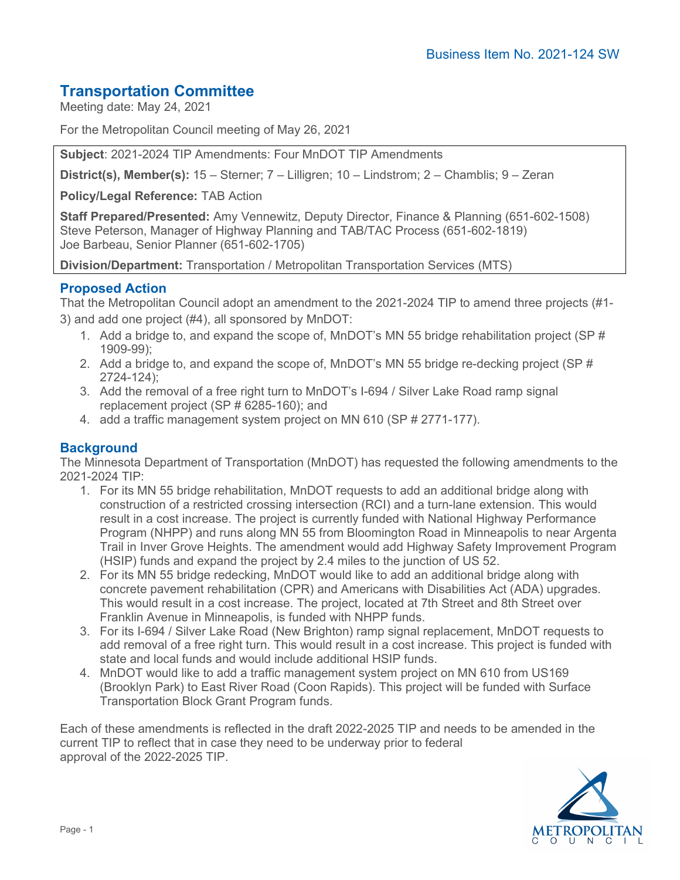## **Transportation Committee**

Meeting date: May 24, 2021

For the Metropolitan Council meeting of May 26, 2021

**Subject**: 2021-2024 TIP Amendments: Four MnDOT TIP Amendments

**District(s), Member(s):** 15 – Sterner; 7 – Lilligren; 10 – Lindstrom; 2 – Chamblis; 9 – Zeran

**Policy/Legal Reference:** TAB Action

**Staff Prepared/Presented:** Amy Vennewitz, Deputy Director, Finance & Planning (651-602-1508) Steve Peterson, Manager of Highway Planning and TAB/TAC Process (651-602-1819) Joe Barbeau, Senior Planner (651-602-1705)

**Division/Department:** Transportation / Metropolitan Transportation Services (MTS)

## **Proposed Action**

That the Metropolitan Council adopt an amendment to the 2021-2024 TIP to amend three projects (#1- 3) and add one project (#4), all sponsored by MnDOT:

- 1. Add a bridge to, and expand the scope of, MnDOT's MN 55 bridge rehabilitation project (SP # 1909-99);
- 2. Add a bridge to, and expand the scope of, MnDOT's MN 55 bridge re-decking project (SP # 2724-124);
- 3. Add the removal of a free right turn to MnDOT's I-694 / Silver Lake Road ramp signal replacement project (SP # 6285-160); and
- 4. add a traffic management system project on MN 610 (SP # 2771-177).

### **Background**

The Minnesota Department of Transportation (MnDOT) has requested the following amendments to the 2021-2024 TIP:

- 1. For its MN 55 bridge rehabilitation, MnDOT requests to add an additional bridge along with construction of a restricted crossing intersection (RCI) and a turn-lane extension. This would result in a cost increase. The project is currently funded with National Highway Performance Program (NHPP) and runs along MN 55 from Bloomington Road in Minneapolis to near Argenta Trail in Inver Grove Heights. The amendment would add Highway Safety Improvement Program (HSIP) funds and expand the project by 2.4 miles to the junction of US 52.
- 2. For its MN 55 bridge redecking, MnDOT would like to add an additional bridge along with concrete pavement rehabilitation (CPR) and Americans with Disabilities Act (ADA) upgrades. This would result in a cost increase. The project, located at 7th Street and 8th Street over Franklin Avenue in Minneapolis, is funded with NHPP funds.
- 3. For its I-694 / Silver Lake Road (New Brighton) ramp signal replacement, MnDOT requests to add removal of a free right turn. This would result in a cost increase. This project is funded with state and local funds and would include additional HSIP funds.
- 4. MnDOT would like to add a traffic management system project on MN 610 from US169 (Brooklyn Park) to East River Road (Coon Rapids). This project will be funded with Surface Transportation Block Grant Program funds.

Each of these amendments is reflected in the draft 2022-2025 TIP and needs to be amended in the current TIP to reflect that in case they need to be underway prior to federal approval of the 2022-2025 TIP.

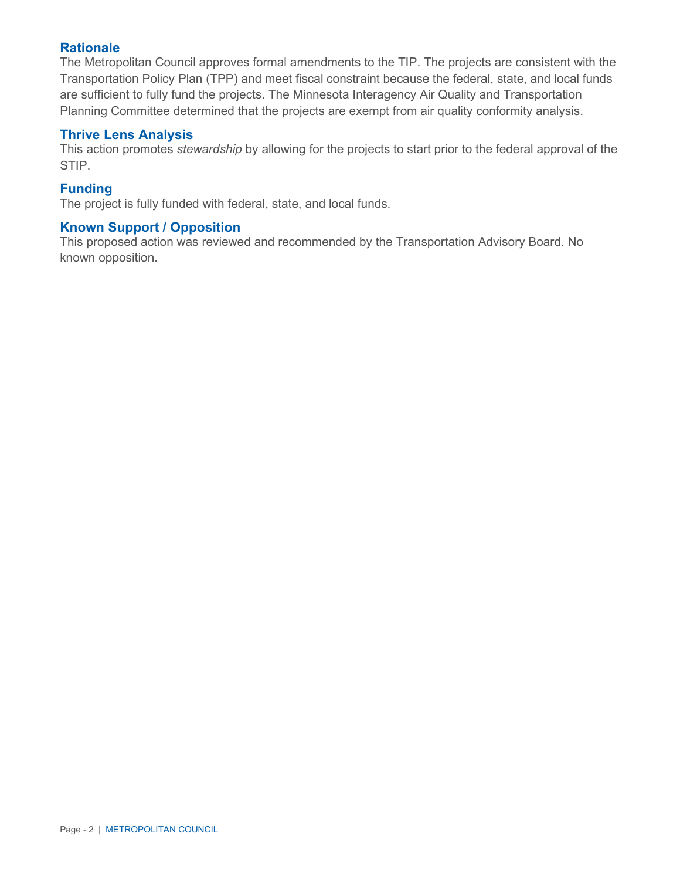### **Rationale**

The Metropolitan Council approves formal amendments to the TIP. The projects are consistent with the Transportation Policy Plan (TPP) and meet fiscal constraint because the federal, state, and local funds are sufficient to fully fund the projects. The Minnesota Interagency Air Quality and Transportation Planning Committee determined that the projects are exempt from air quality conformity analysis.

#### **Thrive Lens Analysis**

This action promotes *stewardship* by allowing for the projects to start prior to the federal approval of the STIP.

#### **Funding**

The project is fully funded with federal, state, and local funds.

### **Known Support / Opposition**

This proposed action was reviewed and recommended by the Transportation Advisory Board. No known opposition.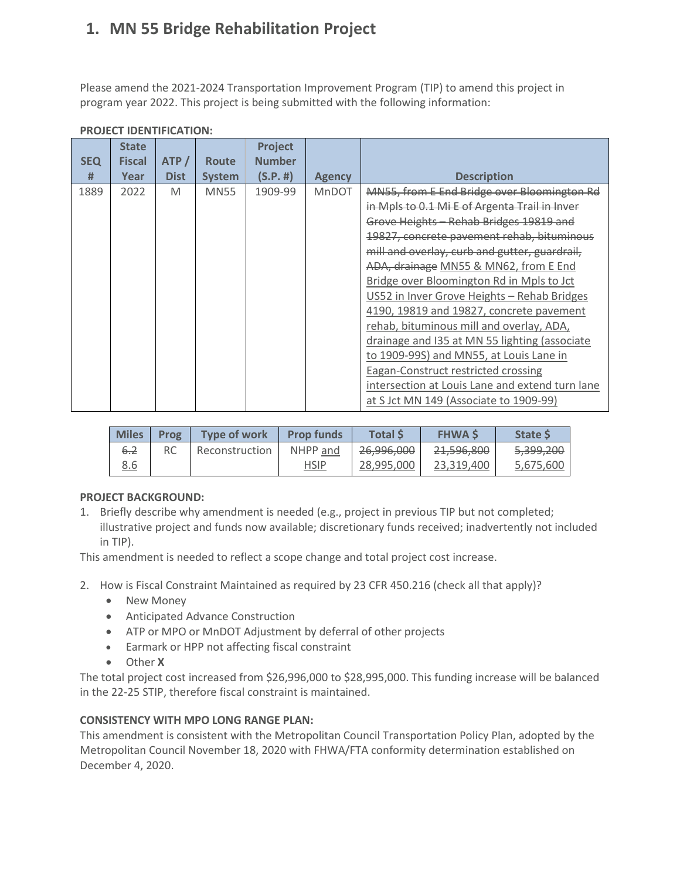# **1. MN 55 Bridge Rehabilitation Project**

Please amend the 2021-2024 Transportation Improvement Program (TIP) to amend this project in program year 2022. This project is being submitted with the following information:

| <b>SEQ</b><br># | <b>State</b><br><b>Fiscal</b><br>Year | ATP/<br><b>Dist</b> | <b>Route</b><br><b>System</b> | Project<br><b>Number</b><br>(S.P. #) | <b>Agency</b> | <b>Description</b>                                                                                                                                                                                                                                                                                                                                                                                                                                                                                                                                                                                                                                                                                         |
|-----------------|---------------------------------------|---------------------|-------------------------------|--------------------------------------|---------------|------------------------------------------------------------------------------------------------------------------------------------------------------------------------------------------------------------------------------------------------------------------------------------------------------------------------------------------------------------------------------------------------------------------------------------------------------------------------------------------------------------------------------------------------------------------------------------------------------------------------------------------------------------------------------------------------------------|
| 1889            | 2022                                  | M                   | <b>MN55</b>                   | 1909-99                              | <b>MnDOT</b>  | MN55, from E End Bridge over Bloomington Rd<br>in Mpls to 0.1 Mi E of Argenta Trail in Inver<br>Grove Heights - Rehab Bridges 19819 and<br>19827, concrete pavement rehab, bituminous<br>mill and overlay, curb and gutter, guardrail,<br>ADA, drainage MN55 & MN62, from E End<br>Bridge over Bloomington Rd in Mpls to Jct<br>US52 in Inver Grove Heights - Rehab Bridges<br>4190, 19819 and 19827, concrete pavement<br>rehab, bituminous mill and overlay, ADA,<br>drainage and I35 at MN 55 lighting (associate<br>to 1909-99S) and MN55, at Louis Lane in<br><b>Eagan-Construct restricted crossing</b><br>intersection at Louis Lane and extend turn lane<br>at S Jct MN 149 (Associate to 1909-99) |

#### **PROJECT IDENTIFICATION:**

| <b>Miles</b> | Prog | Tvpe of work   | <b>Prop funds</b> | Total S               | <b>FHWAS</b> | <b>State S</b>       |
|--------------|------|----------------|-------------------|-----------------------|--------------|----------------------|
| 6.2          | RC   | Reconstruction | NHPP and          | <del>26,996,000</del> | 21,596,800   | <del>5,399,200</del> |
| 8.6          |      |                | <b>HSIP</b>       | 28,995,000            | 23.319.400   | 5,675,600            |

#### **PROJECT BACKGROUND:**

1. Briefly describe why amendment is needed (e.g., project in previous TIP but not completed; illustrative project and funds now available; discretionary funds received; inadvertently not included in TIP).

This amendment is needed to reflect a scope change and total project cost increase.

- 2. How is Fiscal Constraint Maintained as required by 23 CFR 450.216 (check all that apply)?
	- New Money
	- Anticipated Advance Construction
	- ATP or MPO or MnDOT Adjustment by deferral of other projects
	- Earmark or HPP not affecting fiscal constraint
	- Other **X**

The total project cost increased from \$26,996,000 to \$28,995,000. This funding increase will be balanced in the 22-25 STIP, therefore fiscal constraint is maintained.

#### **CONSISTENCY WITH MPO LONG RANGE PLAN:**

This amendment is consistent with the Metropolitan Council Transportation Policy Plan, adopted by the Metropolitan Council November 18, 2020 with FHWA/FTA conformity determination established on December 4, 2020.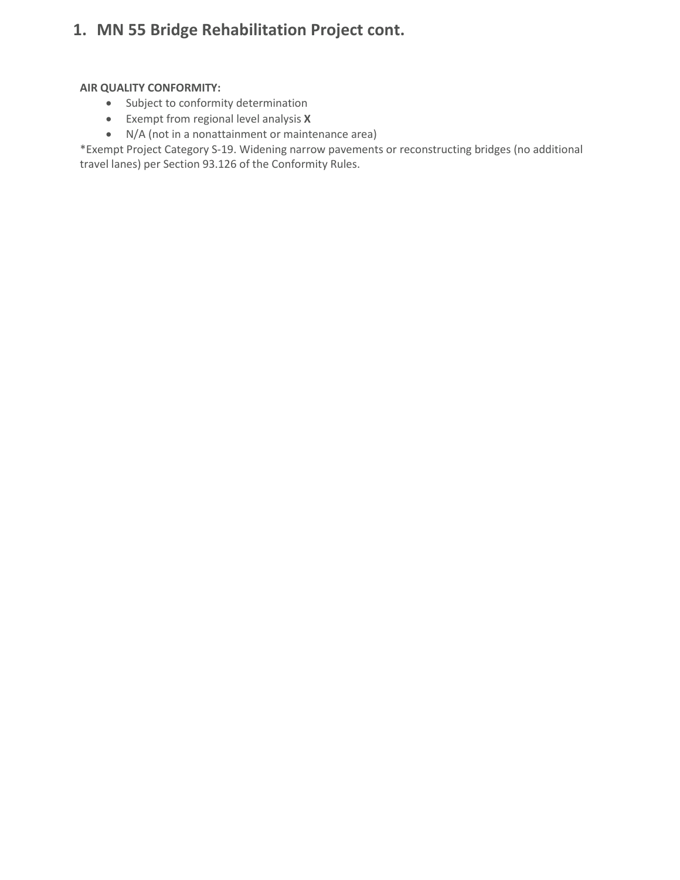# **1. MN 55 Bridge Rehabilitation Project cont.**

#### **AIR QUALITY CONFORMITY:**

- Subject to conformity determination
- Exempt from regional level analysis **X**
- N/A (not in a nonattainment or maintenance area)

\*Exempt Project Category S-19. Widening narrow pavements or reconstructing bridges (no additional travel lanes) per Section 93.126 of the Conformity Rules.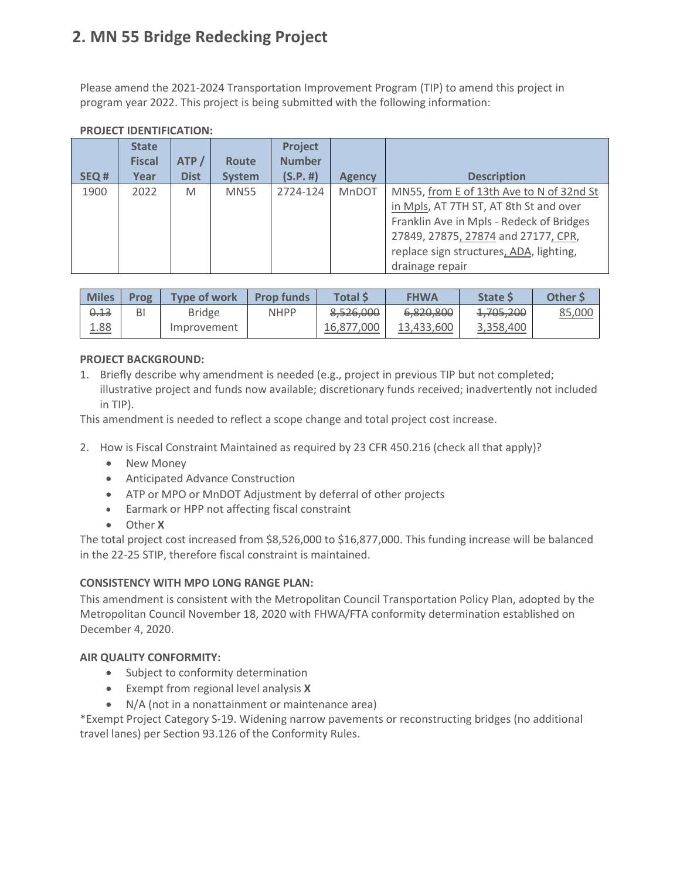# **2. MN 55 Bridge Redecking Project**

Please amend the 2021-2024 Transportation Improvement Program (TIP) to amend this project in program year 2022. This project is being submitted with the following information:

| SEQ# | <b>State</b><br><b>Fiscal</b><br>Year | ATP/<br><b>Dist</b> | <b>Route</b><br><b>System</b> | <b>Project</b><br><b>Number</b><br>(S.P.  #) | <b>Agency</b> | <b>Description</b>                                                                                                                                                                                                                  |
|------|---------------------------------------|---------------------|-------------------------------|----------------------------------------------|---------------|-------------------------------------------------------------------------------------------------------------------------------------------------------------------------------------------------------------------------------------|
| 1900 | 2022                                  | M                   | <b>MN55</b>                   | 2724-124                                     | MnDOT         | MN55, from E of 13th Ave to N of 32nd St<br>in Mpls, AT 7TH ST, AT 8th St and over<br>Franklin Ave in Mpls - Redeck of Bridges<br>27849, 27875, 27874 and 27177, CPR,<br>replace sign structures, ADA, lighting,<br>drainage repair |

### **PROJECT IDENTIFICATION:**

| <b>Miles</b> | Prog | Type of work  | <b>Prop funds</b> | Total \$       | <b>FHWA</b>                       | <b>State S</b>                     | Other S |
|--------------|------|---------------|-------------------|----------------|-----------------------------------|------------------------------------|---------|
| 0.13         | BI   | <b>Bridge</b> | <b>NHPP</b>       | 8,526,000      | e ajn ann<br><del>0,020,000</del> | 1.705.200<br>1 <del>,703,200</del> | 85,000  |
| <u>1.88</u>  |      | Improvement   |                   | .000<br>16.877 | 13.433.600                        | 3,358,400                          |         |

#### **PROJECT BACKGROUND:**

1. Briefly describe why amendment is needed (e.g., project in previous TIP but not completed; illustrative project and funds now available; discretionary funds received; inadvertently not included in TIP).

This amendment is needed to reflect a scope change and total project cost increase.

- 2. How is Fiscal Constraint Maintained as required by 23 CFR 450.216 (check all that apply)?
	- New Money
	- Anticipated Advance Construction
	- ATP or MPO or MnDOT Adjustment by deferral of other projects
	- Earmark or HPP not affecting fiscal constraint
	- Other **X**

The total project cost increased from \$8,526,000 to \$16,877,000. This funding increase will be balanced in the 22-25 STIP, therefore fiscal constraint is maintained.

#### **CONSISTENCY WITH MPO LONG RANGE PLAN:**

This amendment is consistent with the Metropolitan Council Transportation Policy Plan, adopted by the Metropolitan Council November 18, 2020 with FHWA/FTA conformity determination established on December 4, 2020.

#### **AIR QUALITY CONFORMITY:**

- Subject to conformity determination
- Exempt from regional level analysis **X**
- N/A (not in a nonattainment or maintenance area)

\*Exempt Project Category S-19. Widening narrow pavements or reconstructing bridges (no additional travel lanes) per Section 93.126 of the Conformity Rules.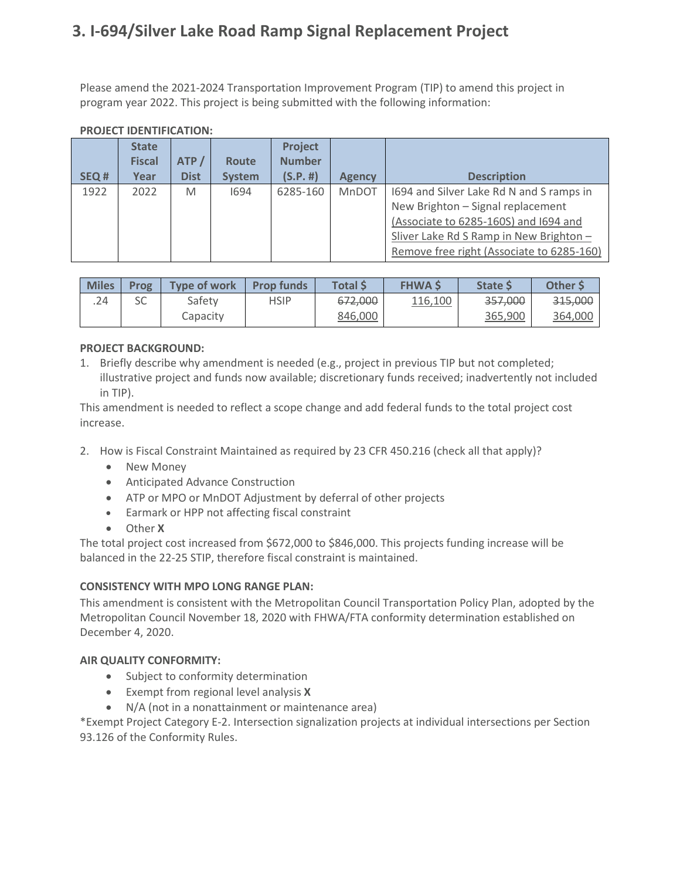# **3. I-694/Silver Lake Road Ramp Signal Replacement Project**

Please amend the 2021-2024 Transportation Improvement Program (TIP) to amend this project in program year 2022. This project is being submitted with the following information:

| SEQ# | <b>State</b><br><b>Fiscal</b><br>Year | ATP/<br><b>Dist</b> | <b>Route</b><br><b>System</b> | Project<br><b>Number</b><br>(S.P. #) | <b>Agency</b> | <b>Description</b>                                                                                                                                                                                             |
|------|---------------------------------------|---------------------|-------------------------------|--------------------------------------|---------------|----------------------------------------------------------------------------------------------------------------------------------------------------------------------------------------------------------------|
| 1922 | 2022                                  | M                   | 1694                          | 6285-160                             | <b>MnDOT</b>  | 1694 and Silver Lake Rd N and S ramps in<br>New Brighton - Signal replacement<br>(Associate to 6285-160S) and I694 and<br>Sliver Lake Rd S Ramp in New Brighton -<br>Remove free right (Associate to 6285-160) |

#### **PROJECT IDENTIFICATION:**

| <b>Miles</b> | Prog     | <b>Type of work</b> | <b>Prop funds</b> | <b>Total</b> \$ | <b>FHWA S</b> | <b>State S</b> | <b>Other S</b> |
|--------------|----------|---------------------|-------------------|-----------------|---------------|----------------|----------------|
| .24          | cc<br>эC | Safetv              | <b>HSIP</b>       | 672,000         | 116,100       | 357,000        | 315,000        |
|              |          | Capacity            |                   | 846,000         |               | 365,900        | 364,000        |

### **PROJECT BACKGROUND:**

1. Briefly describe why amendment is needed (e.g., project in previous TIP but not completed; illustrative project and funds now available; discretionary funds received; inadvertently not included in TIP).

This amendment is needed to reflect a scope change and add federal funds to the total project cost increase.

- 2. How is Fiscal Constraint Maintained as required by 23 CFR 450.216 (check all that apply)?
	- New Money
	- Anticipated Advance Construction
	- ATP or MPO or MnDOT Adjustment by deferral of other projects
	- Earmark or HPP not affecting fiscal constraint
	- Other **X**

The total project cost increased from \$672,000 to \$846,000. This projects funding increase will be balanced in the 22-25 STIP, therefore fiscal constraint is maintained.

#### **CONSISTENCY WITH MPO LONG RANGE PLAN:**

This amendment is consistent with the Metropolitan Council Transportation Policy Plan, adopted by the Metropolitan Council November 18, 2020 with FHWA/FTA conformity determination established on December 4, 2020.

#### **AIR QUALITY CONFORMITY:**

- Subject to conformity determination
- Exempt from regional level analysis **X**
- N/A (not in a nonattainment or maintenance area)

\*Exempt Project Category E-2. Intersection signalization projects at individual intersections per Section 93.126 of the Conformity Rules.